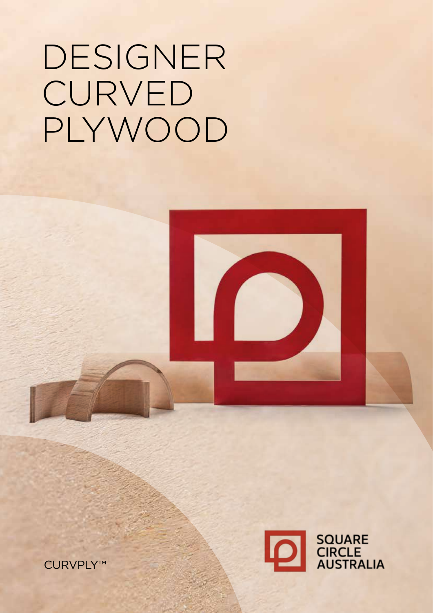### CURVPLY™





# DESIGNER **CURVED** PLYWOOD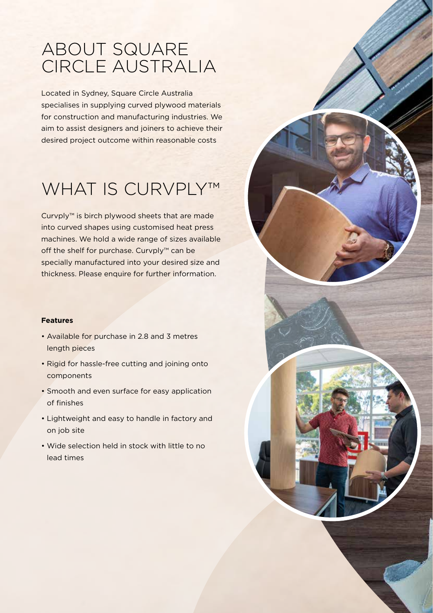### ABOUT SQUARE CIRCLE AUSTRALIA

Located in Sydney, Square Circle Australia specialises in supplying curved plywood materials for construction and manufacturing industries. We aim to assist designers and joiners to achieve their desired project outcome within reasonable costs

# WHAT IS CURVPLY™

Curvply™ is birch plywood sheets that are made into curved shapes using customised heat press machines. We hold a wide range of sizes available off the shelf for purchase. Curvply™ can be specially manufactured into your desired size and thickness. Please enquire for further information.

#### **Features**

- Available for purchase in 2.8 and 3 metres length pieces
- Rigid for hassle-free cutting and joining onto components
- Smooth and even surface for easy application of finishes
- Lightweight and easy to handle in factory and on job site
- Wide selection held in stock with little to no lead times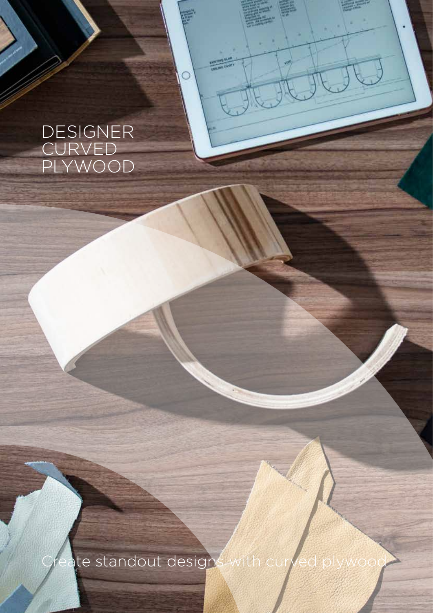### DESIGNER CURVED PLYWOOD

硸

**EXISTENCE SEA** 

ate standout designs with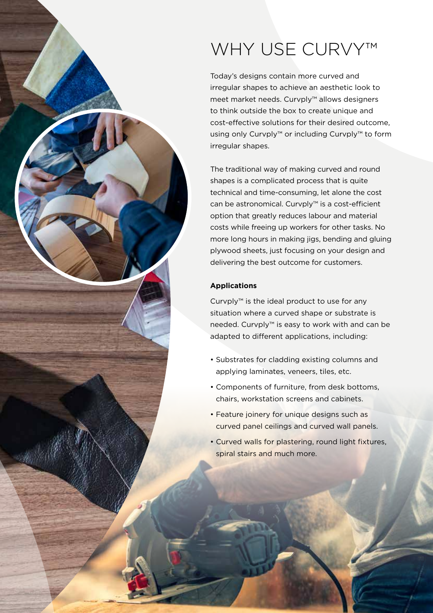# WHY USE CURVY<sup>™</sup>

Today's designs contain more curved and irregular shapes to achieve an aesthetic look to meet market needs. Curvply™ allows designers to think outside the box to create unique and cost-effective solutions for their desired outcome, using only Curvply™ or including Curvply™ to form irregular shapes.

The traditional way of making curved and round shapes is a complicated process that is quite technical and time-consuming, let alone the cost can be astronomical. Curvply™ is a cost-efficient option that greatly reduces labour and material costs while freeing up workers for other tasks. No more long hours in making jigs, bending and gluing plywood sheets, just focusing on your design and delivering the best outcome for customers.

#### **Applications**

Curvply™ is the ideal product to use for any situation where a curved shape or substrate is needed. Curvply™ is easy to work with and can be adapted to different applications, including:

- Substrates for cladding existing columns and applying laminates, veneers, tiles, etc.
- Components of furniture, from desk bottoms, chairs, workstation screens and cabinets.
- Feature joinery for unique designs such as curved panel ceilings and curved wall panels.
- Curved walls for plastering, round light fixtures, spiral stairs and much more.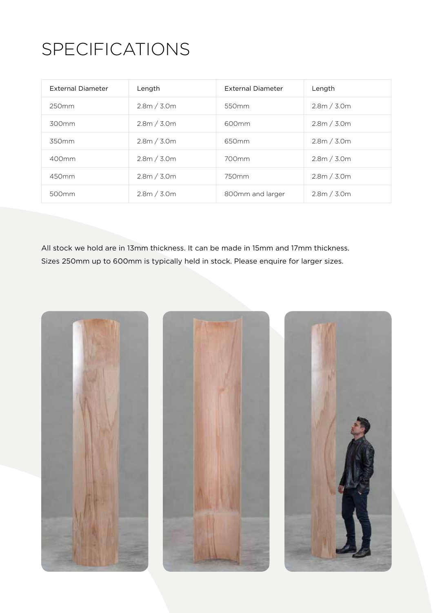# SPECIFICATIONS

| External Diameter | Length      | External Diameter | Length      |
|-------------------|-------------|-------------------|-------------|
| 250 <sub>mm</sub> | 2.8m / 3.0m | 550 <sub>mm</sub> | 2.8m / 3.0m |
| 300mm             | 2.8m / 3.0m | 600mm             | 2.8m / 3.0m |
| 350mm             | 2.8m / 3.0m | 650mm             | 2.8m / 3.0m |
| 400mm             | 2.8m / 3.0m | 700mm             | 2.8m / 3.0m |
| 450mm             | 2.8m / 3.0m | 750mm             | 2.8m / 3.0m |
| 500 <sub>mm</sub> | 2.8m / 3.0m | 800mm and larger  | 2.8m / 3.0m |

All stock we hold are in 13mm thickness. It can be made in 15mm and 17mm thickness. Sizes 250mm up to 600mm is typically held in stock. Please enquire for larger sizes.